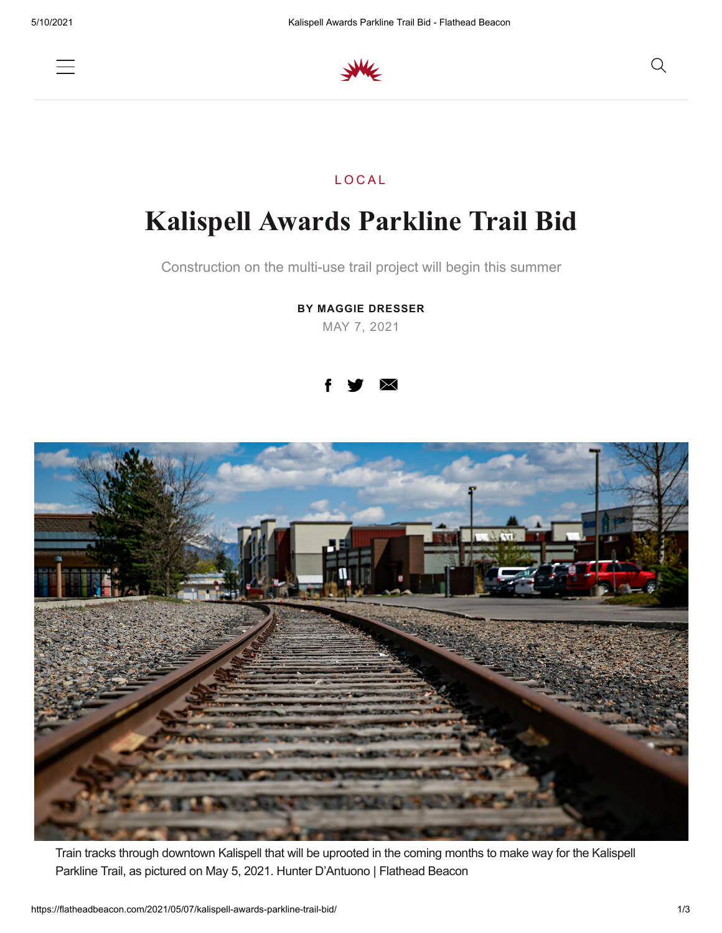



## **LOCAL**

## **Kalispell Awards Parkline Trail Bid**

Construction on the multi-use trail project will begin this summer

**BY MAGGIE DRESSER** MAY 7, 2021





Train tracks through downtown Kalispell that will be uprooted in the coming months to make way for the Kalispell Parkline Trail, as pictured on May 5, 2021. Hunter D'Antuono | Flathead Beacon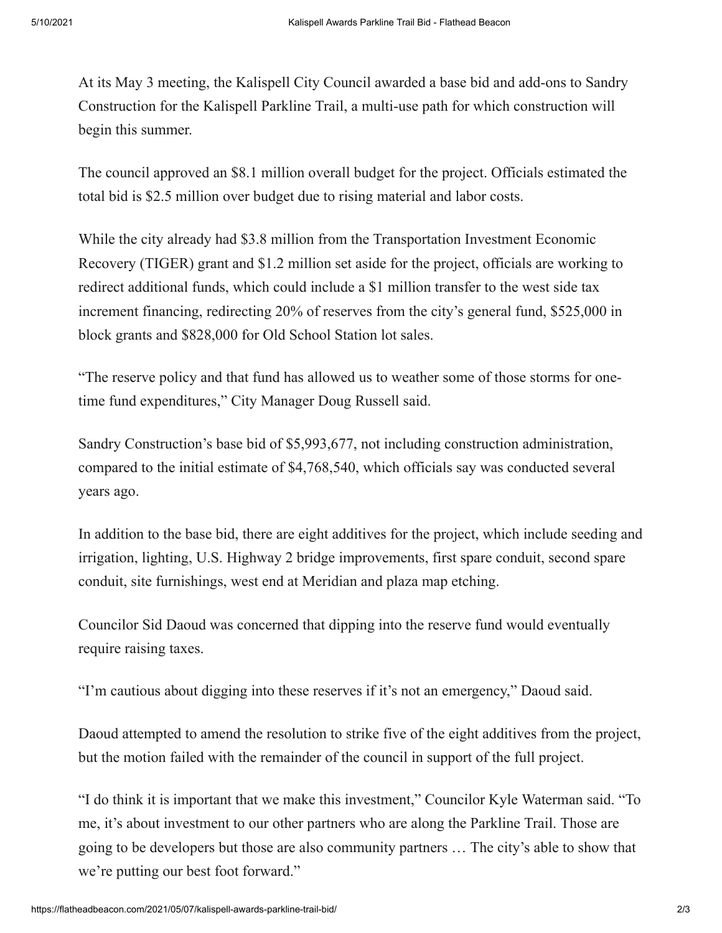At its May 3 meeting, the Kalispell City Council awarded a base bid and add-ons to Sandry Construction for the Kalispell Parkline Trail, a multi-use path for which construction will begin this summer.

The council approved an \$8.1 million overall budget for the project. Officials estimated the total bid is \$2.5 million over budget due to rising material and labor costs.

While the city already had \$3.8 million from the Transportation Investment Economic Recovery (TIGER) grant and \$1.2 million set aside for the project, officials are working to redirect additional funds, which could include a \$1 million transfer to the west side tax increment financing, redirecting 20% of reserves from the city's general fund, \$525,000 in block grants and \$828,000 for Old School Station lot sales.

"The reserve policy and that fund has allowed us to weather some of those storms for onetime fund expenditures," City Manager Doug Russell said.

Sandry Construction's base bid of \$5,993,677, not including construction administration, compared to the initial estimate of \$4,768,540, which officials say was conducted several years ago.

In addition to the base bid, there are eight additives for the project, which include seeding and irrigation, lighting, U.S. Highway 2 bridge improvements, first spare conduit, second spare conduit, site furnishings, west end at Meridian and plaza map etching.

Councilor Sid Daoud was concerned that dipping into the reserve fund would eventually require raising taxes.

"I'm cautious about digging into these reserves if it's not an emergency," Daoud said.

Daoud attempted to amend the resolution to strike five of the eight additives from the project, but the motion failed with the remainder of the council in support of the full project.

"I do think it is important that we make this investment," Councilor Kyle Waterman said. "To me, it's about investment to our other partners who are along the Parkline Trail. Those are going to be developers but those are also community partners … The city's able to show that we're putting our best foot forward."